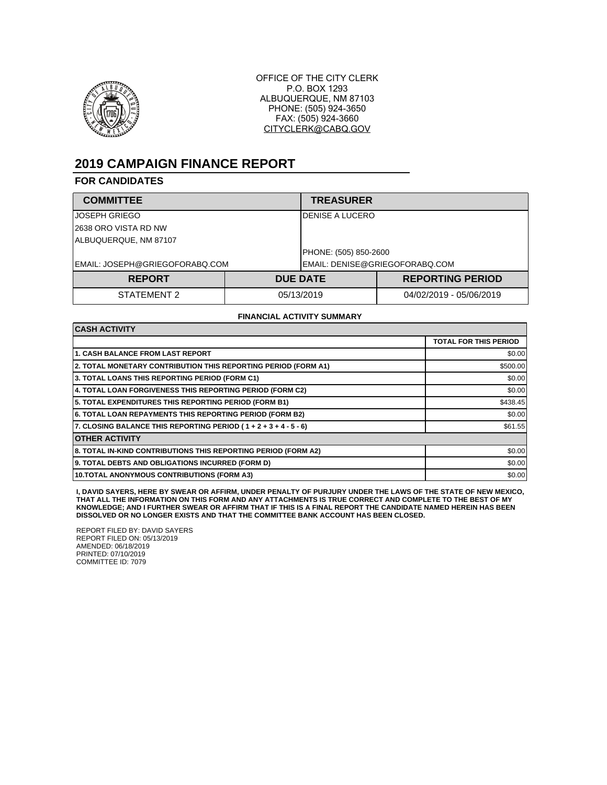

OFFICE OF THE CITY CLERK P.O. BOX 1293 ALBUQUERQUE, NM 87103 PHONE: (505) 924-3650 FAX: (505) 924-3660 CITYCLERK@CABQ.GOV

# **2019 CAMPAIGN FINANCE REPORT**

### **FOR CANDIDATES**

| <b>COMMITTEE</b>               |            | <b>TREASURER</b>               |                         |  |
|--------------------------------|------------|--------------------------------|-------------------------|--|
| JOSEPH GRIEGO                  |            | DENISE A LUCERO                |                         |  |
| 2638 ORO VISTA RD NW           |            |                                |                         |  |
| ALBUQUERQUE, NM 87107          |            |                                |                         |  |
|                                |            | PHONE: (505) 850-2600          |                         |  |
| EMAIL: JOSEPH@GRIEGOFORABQ.COM |            | EMAIL: DENISE@GRIEGOFORABQ.COM |                         |  |
| <b>REPORT</b>                  |            | <b>DUE DATE</b>                | <b>REPORTING PERIOD</b> |  |
| STATEMENT 2                    | 05/13/2019 |                                | 04/02/2019 - 05/06/2019 |  |

#### **FINANCIAL ACTIVITY SUMMARY**

| <b>CASH ACTIVITY</b>                                                 |                              |  |  |
|----------------------------------------------------------------------|------------------------------|--|--|
|                                                                      | <b>TOTAL FOR THIS PERIOD</b> |  |  |
| <b>1. CASH BALANCE FROM LAST REPORT</b>                              | \$0.00                       |  |  |
| 2. TOTAL MONETARY CONTRIBUTION THIS REPORTING PERIOD (FORM A1)       | \$500.00                     |  |  |
| 3. TOTAL LOANS THIS REPORTING PERIOD (FORM C1)                       | \$0.00                       |  |  |
| 4. TOTAL LOAN FORGIVENESS THIS REPORTING PERIOD (FORM C2)            | \$0.00                       |  |  |
| 5. TOTAL EXPENDITURES THIS REPORTING PERIOD (FORM B1)                | \$438.45                     |  |  |
| 6. TOTAL LOAN REPAYMENTS THIS REPORTING PERIOD (FORM B2)             | \$0.00                       |  |  |
| 7. CLOSING BALANCE THIS REPORTING PERIOD ( $1 + 2 + 3 + 4 - 5 - 6$ ) | \$61.55                      |  |  |
| <b>OTHER ACTIVITY</b>                                                |                              |  |  |
| 8. TOTAL IN-KIND CONTRIBUTIONS THIS REPORTING PERIOD (FORM A2)       | \$0.00                       |  |  |
| 9. TOTAL DEBTS AND OBLIGATIONS INCURRED (FORM D)                     | \$0.00                       |  |  |
| <b>10.TOTAL ANONYMOUS CONTRIBUTIONS (FORM A3)</b>                    | \$0.00                       |  |  |

I, DAVID SAYERS, HERE BY SWEAR OR AFFIRM, UNDER PENALTY OF PURJURY UNDER THE LAWS OF THE STATE OF NEW MEXICO,<br>THAT ALL THE INFORMATION ON THIS FORM AND ANY ATTACHMENTS IS TRUE CORRECT AND COMPLETE TO THE BEST OF MY<br>KNOWLED

REPORT FILED BY: DAVID SAYERS REPORT FILED ON: 05/13/2019 AMENDED: 06/18/2019 PRINTED: 07/10/2019 COMMITTEE ID: 7079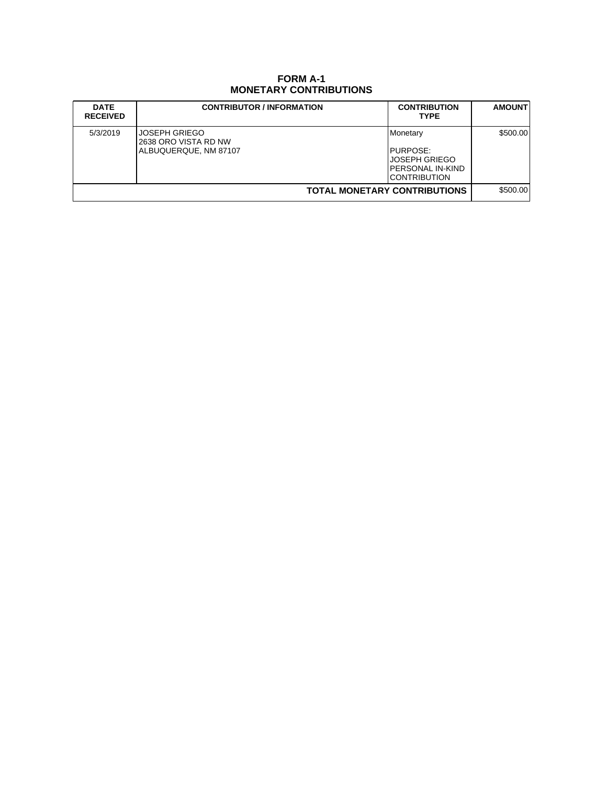## **FORM A-1 MONETARY CONTRIBUTIONS**

| <b>DATE</b><br><b>RECEIVED</b>      | <b>CONTRIBUTOR / INFORMATION</b>                               | <b>CONTRIBUTION</b><br><b>TYPE</b>                                         | <b>AMOUNT</b> |
|-------------------------------------|----------------------------------------------------------------|----------------------------------------------------------------------------|---------------|
| 5/3/2019                            | JOSEPH GRIEGO<br>2638 ORO VISTA RD NW<br>ALBUQUERQUE, NM 87107 | Monetary<br>PURPOSE:<br>JOSEPH GRIEGO<br>PERSONAL IN-KIND<br>ICONTRIBUTION | \$500.00      |
| <b>TOTAL MONETARY CONTRIBUTIONS</b> |                                                                |                                                                            | \$500.00      |